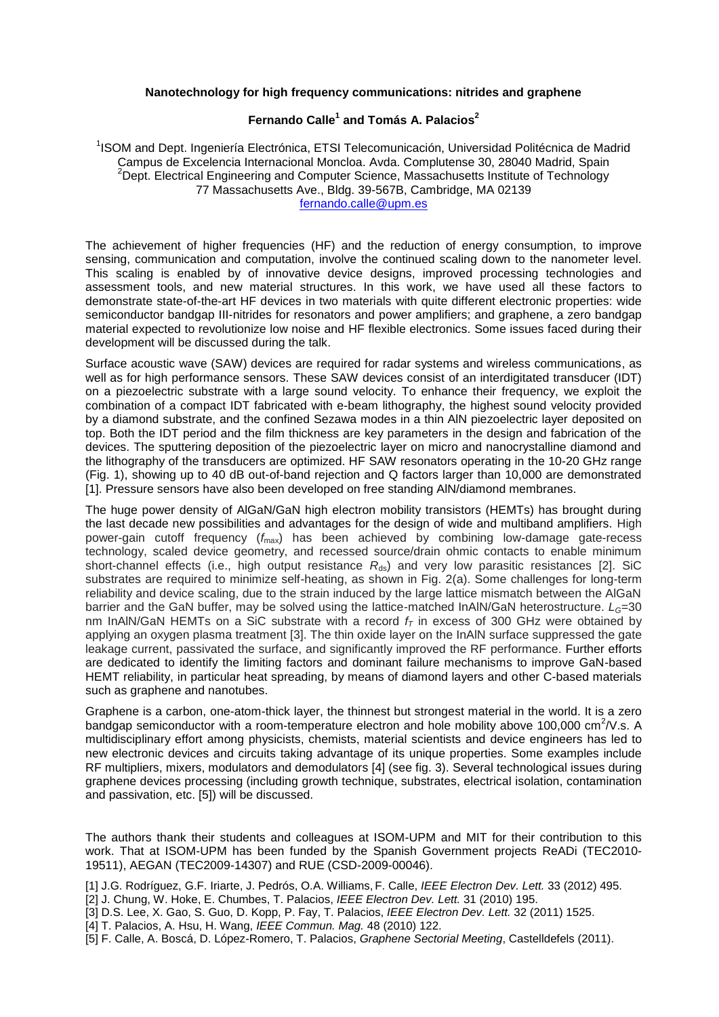## **Nanotechnology for high frequency communications: nitrides and graphene**

## **Fernando Calle<sup>1</sup> and Tomás A. Palacios<sup>2</sup>**

<sup>1</sup>ISOM and Dept. Ingeniería Electrónica, ETSI Telecomunicación, Universidad Politécnica de Madrid Campus de Excelencia Internacional Moncloa. Avda. Complutense 30, 28040 Madrid, Spain  $2$ Dept. Electrical Engineering and Computer Science, Massachusetts Institute of Technology 77 Massachusetts Ave., Bldg. 39-567B, Cambridge, MA 02139 [fernando.calle@upm.es](mailto:fernando.calle@upm.es)

The achievement of higher frequencies (HF) and the reduction of energy consumption, to improve sensing, communication and computation, involve the continued scaling down to the nanometer level. This scaling is enabled by of innovative device designs, improved processing technologies and assessment tools, and new material structures. In this work, we have used all these factors to demonstrate state-of-the-art HF devices in two materials with quite different electronic properties: wide semiconductor bandgap III-nitrides for resonators and power amplifiers; and graphene, a zero bandgap material expected to revolutionize low noise and HF flexible electronics. Some issues faced during their development will be discussed during the talk.

Surface acoustic wave (SAW) devices are required for radar systems and wireless communications, as well as for high performance sensors. These SAW devices consist of an interdigitated transducer (IDT) on a piezoelectric substrate with a large sound velocity. To enhance their frequency, we exploit the combination of a compact IDT fabricated with e-beam lithography, the highest sound velocity provided by a diamond substrate, and the confined Sezawa modes in a thin AlN piezoelectric layer deposited on top. Both the IDT period and the film thickness are key parameters in the design and fabrication of the devices. The sputtering deposition of the piezoelectric layer on micro and nanocrystalline diamond and the lithography of the transducers are optimized. HF SAW resonators operating in the 10-20 GHz range (Fig. 1), showing up to 40 dB out-of-band rejection and Q factors larger than 10,000 are demonstrated [1]. Pressure sensors have also been developed on free standing AlN/diamond membranes.

The huge power density of AlGaN/GaN high electron mobility transistors (HEMTs) has brought during the last decade new possibilities and advantages for the design of wide and multiband amplifiers. High power-gain cutoff frequency ( $f_{\text{max}}$ ) has been achieved by combining low-damage gate-recess technology, scaled device geometry, and recessed source/drain ohmic contacts to enable minimum short-channel effects (i.e., high output resistance  $R_{dS}$ ) and very low parasitic resistances [2]. SiC substrates are required to minimize self-heating, as shown in Fig. 2(a). Some challenges for long-term reliability and device scaling, due to the strain induced by the large lattice mismatch between the AlGaN barrier and the GaN buffer, may be solved using the lattice-matched InAIN/GaN heterostructure.  $L<sub>G</sub>=30$ nm InAIN/GaN HEMTs on a SiC substrate with a record  $f<sub>T</sub>$  in excess of 300 GHz were obtained by applying an oxygen plasma treatment [3]. The thin oxide layer on the InAlN surface suppressed the gate leakage current, passivated the surface, and significantly improved the RF performance. Further efforts are dedicated to identify the limiting factors and dominant failure mechanisms to improve GaN-based HEMT reliability, in particular heat spreading, by means of diamond layers and other C-based materials such as graphene and nanotubes.

Graphene is a carbon, one-atom-thick layer, the thinnest but strongest material in the world. It is a zero bandgap semiconductor with a room-temperature electron and hole mobility above 100,000 cm<sup>2</sup>/V.s. A multidisciplinary effort among physicists, chemists, material scientists and device engineers has led to new electronic devices and circuits taking advantage of its unique properties. Some examples include RF multipliers, mixers, modulators and demodulators [4] (see fig. 3). Several technological issues during graphene devices processing (including growth technique, substrates, electrical isolation, contamination and passivation, etc. [5]) will be discussed.

The authors thank their students and colleagues at ISOM-UPM and MIT for their contribution to this work. That at ISOM-UPM has been funded by the Spanish Government projects ReADi (TEC2010- 19511), AEGAN (TEC2009-14307) and RUE (CSD-2009-00046).

[1] J.G. Rodríguez, G.F. Iriarte, J. Pedrós, O.A. Williams, F. Calle, *IEEE Electron Dev. Lett.* 33 (2012) 495.

[2] J. Chung, W. Hoke, E. Chumbes, T. Palacios, *IEEE Electron Dev. Lett.* 31 (2010) 195.

[3] D.S. Lee, X. Gao, S. Guo, D. Kopp, P. Fay, T. Palacios, *IEEE Electron Dev. Lett.* 32 (2011) 1525.

[4] T. Palacios, A. Hsu, H. Wang, *IEEE Commun. Mag.* 48 (2010) 122.

[5] F. Calle, A. Boscá, D. López-Romero, T. Palacios, *Graphene Sectorial Meeting*, Castelldefels (2011).